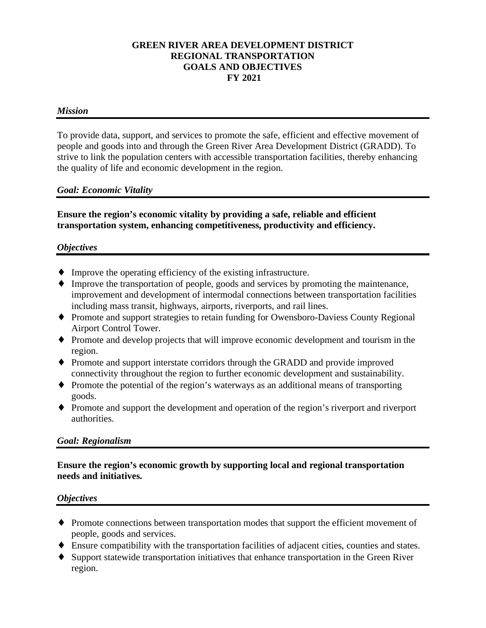## **GREEN RIVER AREA DEVELOPMENT DISTRICT REGIONAL TRANSPORTATION GOALS AND OBJECTIVES FY 2021**

### *Mission*

To provide data, support, and services to promote the safe, efficient and effective movement of people and goods into and through the Green River Area Development District (GRADD). To strive to link the population centers with accessible transportation facilities, thereby enhancing the quality of life and economic development in the region.

## *Goal: Economic Vitality*

## **Ensure the region's economic vitality by providing a safe, reliable and efficient transportation system, enhancing competitiveness, productivity and efficiency.**

## *Objectives*

- Improve the operating efficiency of the existing infrastructure.
- Improve the transportation of people, goods and services by promoting the maintenance, improvement and development of intermodal connections between transportation facilities including mass transit, highways, airports, riverports, and rail lines.
- Promote and support strategies to retain funding for Owensboro-Daviess County Regional Airport Control Tower.
- Promote and develop projects that will improve economic development and tourism in the region.
- Promote and support interstate corridors through the GRADD and provide improved connectivity throughout the region to further economic development and sustainability.
- Promote the potential of the region's waterways as an additional means of transporting goods.
- Promote and support the development and operation of the region's riverport and riverport authorities.

## *Goal: Regionalism*

## **Ensure the region's economic growth by supporting local and regional transportation needs and initiatives.**

## *Objectives*

- Promote connections between transportation modes that support the efficient movement of people, goods and services.
- Ensure compatibility with the transportation facilities of adjacent cities, counties and states.
- Support statewide transportation initiatives that enhance transportation in the Green River region.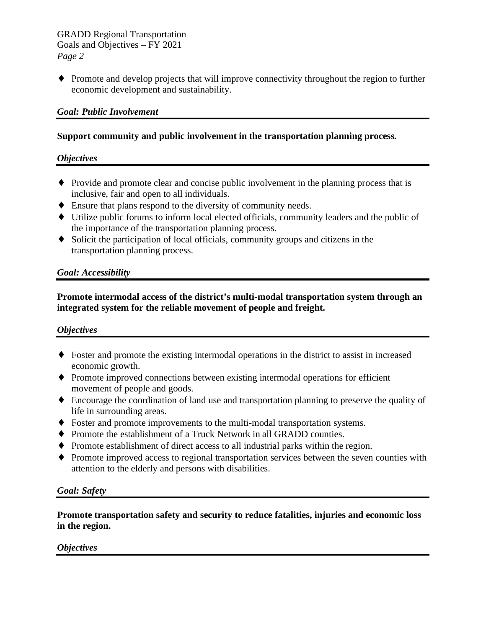GRADD Regional Transportation Goals and Objectives – FY 2021 *Page 2*

Promote and develop projects that will improve connectivity throughout the region to further economic development and sustainability.

## *Goal: Public Involvement*

### **Support community and public involvement in the transportation planning process.**

#### *Objectives*

- Provide and promote clear and concise public involvement in the planning process that is inclusive, fair and open to all individuals.
- Ensure that plans respond to the diversity of community needs.
- Utilize public forums to inform local elected officials, community leaders and the public of the importance of the transportation planning process.
- Solicit the participation of local officials, community groups and citizens in the transportation planning process.

### *Goal: Accessibility*

## **Promote intermodal access of the district's multi-modal transportation system through an integrated system for the reliable movement of people and freight.**

### *Objectives*

- Foster and promote the existing intermodal operations in the district to assist in increased economic growth.
- Promote improved connections between existing intermodal operations for efficient movement of people and goods.
- Encourage the coordination of land use and transportation planning to preserve the quality of life in surrounding areas.
- Foster and promote improvements to the multi-modal transportation systems.
- Promote the establishment of a Truck Network in all GRADD counties.
- Promote establishment of direct access to all industrial parks within the region.
- Promote improved access to regional transportation services between the seven counties with attention to the elderly and persons with disabilities.

### *Goal: Safety*

### **Promote transportation safety and security to reduce fatalities, injuries and economic loss in the region.**

### *Objectives*